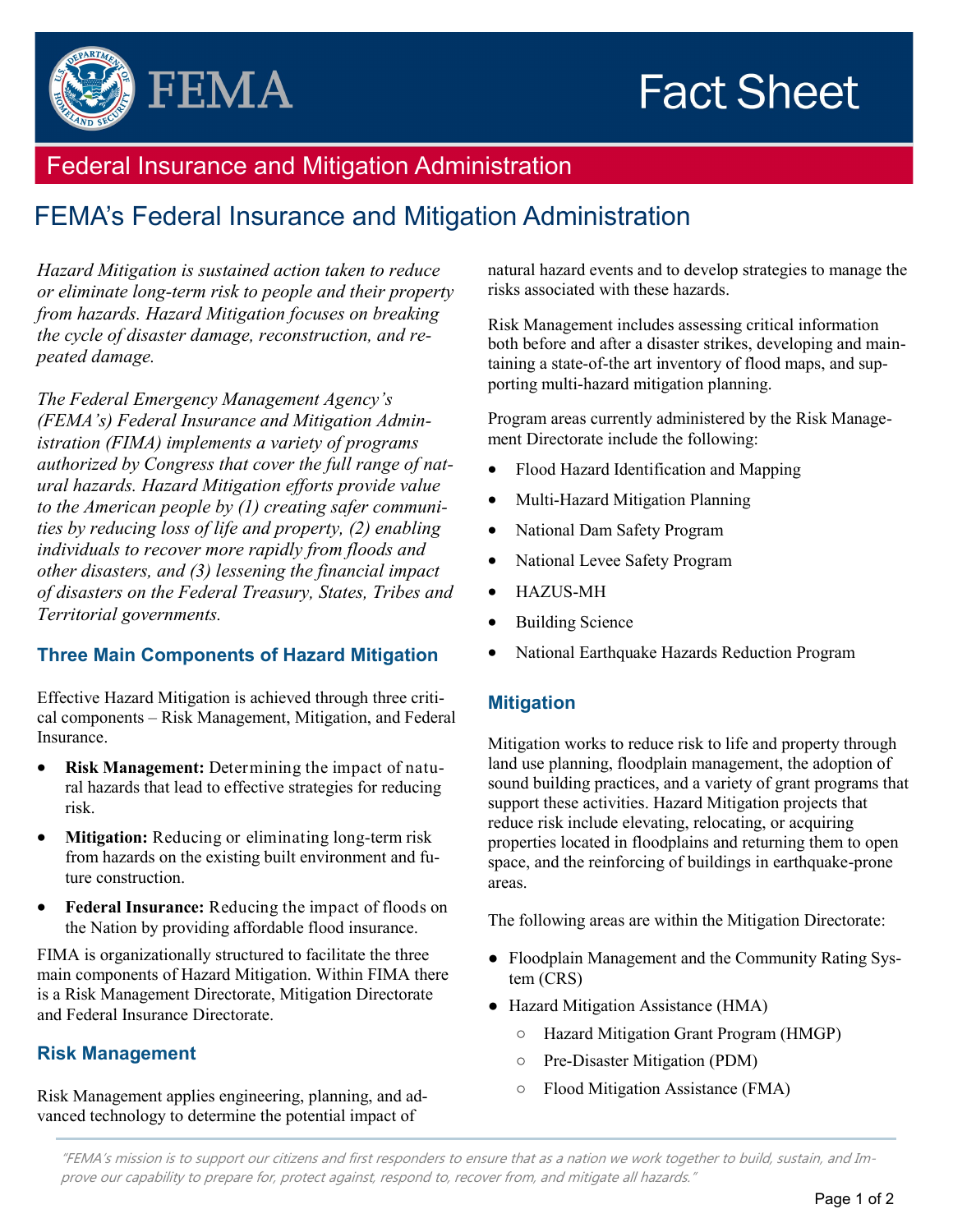# **Fact Sheet**



# Federal Insurance and Mitigation Administration

# FEMA's Federal Insurance and Mitigation Administration

*Hazard Mitigation is sustained action taken to reduce or eliminate long-term risk to people and their property from hazards. Hazard Mitigation focuses on breaking the cycle of disaster damage, reconstruction, and repeated damage.*

*The Federal Emergency Management Agency's (FEMA's) Federal Insurance and Mitigation Administration (FIMA) implements a variety of programs authorized by Congress that cover the full range of natural hazards. Hazard Mitigation efforts provide value to the American people by (1) creating safer communities by reducing loss of life and property, (2) enabling individuals to recover more rapidly from floods and other disasters, and (3) lessening the financial impact of disasters on the Federal Treasury, States, Tribes and Territorial governments.*

# **Three Main Components of Hazard Mitigation**

Effective Hazard Mitigation is achieved through three critical components – Risk Management, Mitigation, and Federal Insurance.

- **Risk Management:** Determining the impact of natural hazards that lead to effective strategies for reducing risk.
- **Mitigation:** Reducing or eliminating long-term risk from hazards on the existing built environment and future construction.
- **Federal Insurance:** Reducing the impact of floods on the Nation by providing affordable flood insurance.

FIMA is organizationally structured to facilitate the three main components of Hazard Mitigation. Within FIMA there is a Risk Management Directorate, Mitigation Directorate and Federal Insurance Directorate.

# **Risk Management**

Risk Management applies engineering, planning, and advanced technology to determine the potential impact of

natural hazard events and to develop strategies to manage the risks associated with these hazards.

Risk Management includes assessing critical information both before and after a disaster strikes, developing and maintaining a state-of-the art inventory of flood maps, and supporting multi-hazard mitigation planning.

Program areas currently administered by the Risk Management Directorate include the following:

- Flood Hazard Identification and Mapping
- Multi-Hazard Mitigation Planning
- National Dam Safety Program
- National Levee Safety Program
- HAZUS-MH
- Building Science
- National Earthquake Hazards Reduction Program

# **Mitigation**

Mitigation works to reduce risk to life and property through land use planning, floodplain management, the adoption of sound building practices, and a variety of grant programs that support these activities. Hazard Mitigation projects that reduce risk include elevating, relocating, or acquiring properties located in floodplains and returning them to open space, and the reinforcing of buildings in earthquake-prone areas.

The following areas are within the Mitigation Directorate:

- Floodplain Management and the Community Rating System (CRS)
- Hazard Mitigation Assistance (HMA)
	- Hazard Mitigation Grant Program (HMGP)
	- Pre-Disaster Mitigation (PDM)
	- Flood Mitigation Assistance (FMA)

"FEMA's mission is to support our citizens and first responders to ensure that as a nation we work together to build, sustain, and Improve our capability to prepare for, protect against, respond to, recover from, and mitigate all hazards."